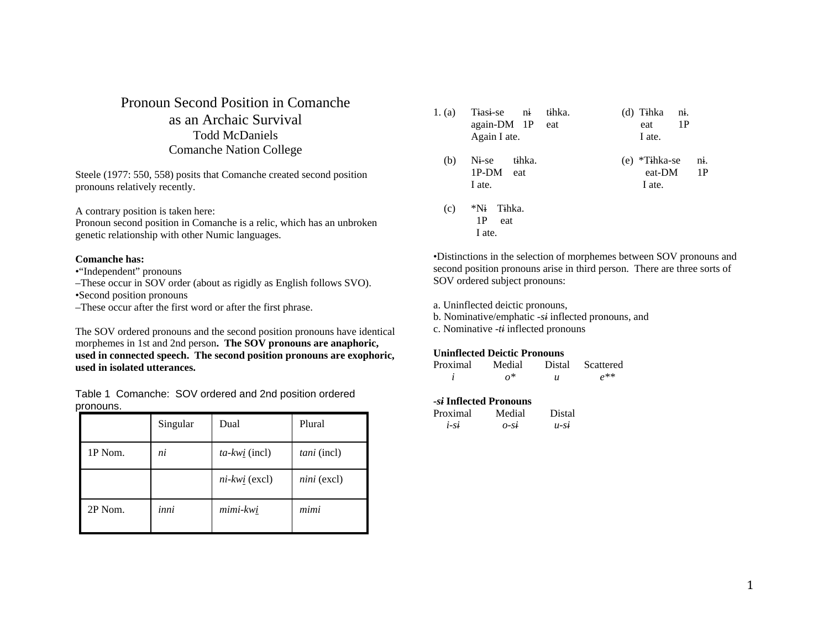# Pronoun Second Position in Comanche as an Archaic Survival Todd McDaniels Comanche Nation College

Steele (1977: 550, 558) posits that Comanche created second position pronouns relatively recently.

A contrary position is taken here:

Pronoun second position in Comanche is a relic, which has an unbroken genetic relationship with other Numic languages.

## **Comanche has:**

- •"Independent" pronouns
- –These occur in SOV order (about as rigidly as English follows SVO).
- •Second position pronouns
- –These occur after the first word or after the first phrase.

The SOV ordered pronouns and the second position pronouns have identical morphemes in 1st and 2nd person**. The SOV pronouns are anaphoric, used in connected speech. The second position pronouns are exophoric, used in isolated utterances.**

Table 1 Comanche: SOV ordered and 2nd position ordered pronouns.

|         | Singular | Dual                | Plural      |
|---------|----------|---------------------|-------------|
| 1P Nom. | ni       | $ta$ -kw $i$ (incl) | tani (incl) |
|         |          | $ni$ -kwi (excl)    | nini (excl) |
| 2P Nom. | inni     | mimi-kwi            | mimi        |

| 1. (a) | Tiasi-se<br>$\overline{\text{ni}}$<br>again-DM 1P eat<br>Again I ate. | tihka. | (d) Tihka<br>eat<br>I ate.           | ni.<br>1P                       |
|--------|-----------------------------------------------------------------------|--------|--------------------------------------|---------------------------------|
| (b)    | Ni-se<br>tihka.<br>1P-DM eat<br>I ate.                                |        | *Tihka-se<br>(e)<br>eat-DM<br>I ate. | $\overline{\mathbf{n}}$ .<br>1P |
| (c)    | *Ni<br>Tihka.<br>1P<br>eat<br>I ate.                                  |        |                                      |                                 |

•Distinctions in the selection of morphemes between SOV pronouns and second position pronouns arise in third person. There are three sorts of SOV ordered subject pronouns:

a. Uninflected deictic pronouns,

- b. Nominative/emphatic *-si* inflected pronouns, and
- c. Nominative *-ti* inflected pronouns

## **Uninflected Deictic Pronouns**

| Proximal | Medial     | Distal | Scattered |
|----------|------------|--------|-----------|
|          | $\alpha^*$ | u      | $\rho$ ** |

## *-si* **Inflected Pronouns**

| Proximal | Medial | Distal  |
|----------|--------|---------|
| $1-St$   | O-SI   | $u$ -St |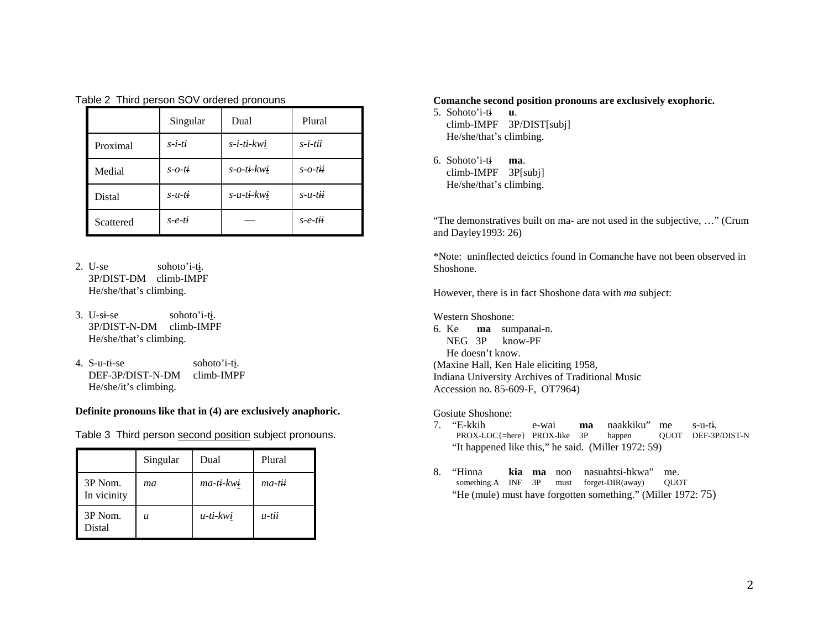|  |  | Table 2 Third person SOV ordered pronouns |  |  |  |
|--|--|-------------------------------------------|--|--|--|
|--|--|-------------------------------------------|--|--|--|

|           | Singular      | Dual              | Plural     |
|-----------|---------------|-------------------|------------|
| Proximal  | $s-i-ti$      | $s$ -i-ti-kwi     | $s$ -i-tii |
| Medial    | $s$ - $o$ -ti | $s$ - $o$ -ti-kwi | s-o-tii    |
| Distal    | $s$ -u-ti     | $s$ -u-ti-kwi     | $s$ -u-tii |
| Scattered | $s$ -e-ti     |                   | $s$ -e-tii |

- 2. U-se sohoto'i-ti. 3P/DIST-DM climb-IMPF He/she/that's climbing.
- 3. U-si-se sohoto'i-ti. 3P/DIST-N-DM climb-IMPF He/she/that's climbing.
- 4.  $S$ -u-ti-se sohoto'i-ti. DEF-3P/DIST-N-DM climb-IMPF He/she/it's climbing.

# **Definite pronouns like that in (4) are exclusively anaphoric.**

Table 3 Third person second position subject pronouns.

|                        | Singular         | Dual        | Plural   |
|------------------------|------------------|-------------|----------|
| 3P Nom.<br>In vicinity | mа               | ma-ti-kwi   | ma-tii   |
| 3P Nom.<br>Distal      | $\boldsymbol{u}$ | $u$ -ti-kwi | $u$ -tii |

## **Comanche second position pronouns are exclusively exophoric.**

5. Sohoto'i-ti **u**. climb-IMPF 3P/DIST[subj] He/she/that's climbing.

6. Sohoto'i-ti **ma**. climb-IMPF 3P[subj] He/she/that's climbing.

"The demonstratives built on ma- are not used in the subjective, …" (Crum and Dayley1993: 26)

\*Note: uninflected deictics found in Comanche have not been observed in Shoshone.

However, there is in fact Shoshone data with *ma* subject:

Western Shoshone:

6. Ke **ma** sumpanai-n. NEG 3P know-PF He doesn't know. (Maxine Hall, Ken Hale eliciting 1958, Indiana University Archives of Traditional Music Accession no. 85-609-F, OT7964)

Gosiute Shoshone:

- 7. "E-kkih e-wai **ma** naakkiku" me s-u-ti. PROX-LOC{=here} PROX-like 3P happen QUOT DEF-3P/DIST-N "It happened like this," he said. (Miller 1972: 59)
- 8. "Hinna **kia**na suahtsi-hkwa" me. something.A INF 3P must forget-DIR(away) QUOT "He (mule) must have forgotten something." (Miller 1972: 75)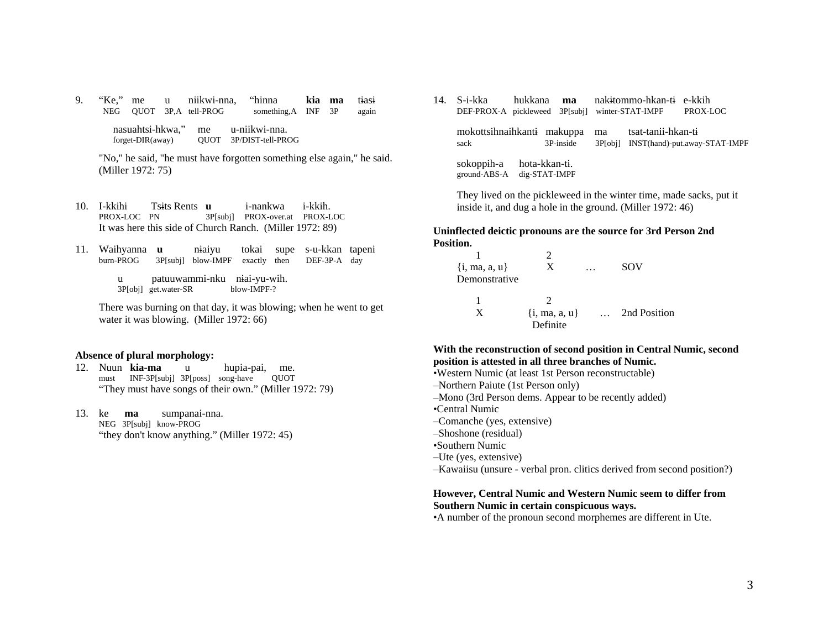9. "Ke," me u niikwi-nna, "hinna **kia ma** tiasi NEG QUOT 3P,A tell-PROG something,A INF 3P again nasuahtsi-hkwa," me u-niikwi-nna. forget-DIR(away) QUOT 3P/DIST-tell-PROG

 "No," he said, "he must have forgotten something else again," he said. (Miller 1972: 75)

- 10. I-kkihi Tsits Rents **u** i-nankwa i-kkih. PROX-LOC PN 3P[subj] PROX-over.at PROX-LOC It was here this side of Church Ranch. (Miller 1972: 89)
- 11. Waihyanna **u** niaiyu tokai supe s-u-kkan tapeni 3P[subj] blow-IMPF exactly then DEF-3P-A day

u patuuwammi-nku niai-yu-wih.<br>3Plobil get.water-SR blow-IMPF-? 3P[obj] get.water-SR

 There was burning on that day, it was blowing; when he went to get water it was blowing. (Miller 1972: 66)

#### **Absence of plural morphology:**

- 12. Nuun **kia-ma** u hupia-pai, me. must INF-3P[subj] 3P[poss] song-have QUOT "They must have songs of their own." (Miller 1972: 79)
- 13. ke **ma** sumpanai-nna. NEG 3P[subj] know-PROG "they don't know anything." (Miller 1972: 45)

14. S-i-kka hukkana **ma** nakitommo-hkan-ti e-kkih DEF-PROX-A pickleweed 3P[subj] winter-STAT-IMPF PROX-LOC mokottsihnaihkanti makuppa ma tsat-tanii-hkan-ti sack 3P-inside 3P[obj] INST(hand)-put.away-STAT-IMPF sokoppih-a hota-kkan-ti. ground-ABS-A dig-STAT-IMPF

 They lived on the pickleweed in the winter time, made sacks, put it inside it, and dug a hole in the ground. (Miller 1972: 46)

## **Uninflected deictic pronouns are the source for 3rd Person 2nd Position.**

| $\{i, ma, a, u\}$<br>Demonstrative | X                             | $\ddotsc$ | SOV          |
|------------------------------------|-------------------------------|-----------|--------------|
| X                                  | $\{i, ma, a, u\}$<br>Definite |           | 2nd Position |

# **With the reconstruction of second position in Central Numic, second position is attested in all three branches of Numic.**

- •Western Numic (at least 1st Person reconstructable)
- –Northern Paiute (1st Person only)
- –Mono (3rd Person dems. Appear to be recently added)
- •Central Numic
- –Comanche (yes, extensive)
- –Shoshone (residual)
- •Southern Numic
- –Ute (yes, extensive)
- –Kawaiisu (unsure verbal pron. clitics derived from second position?)

# **However, Central Numic and Western Numic seem to differ from Southern Numic in certain conspicuous ways.**

•A number of the pronoun second morphemes are different in Ute.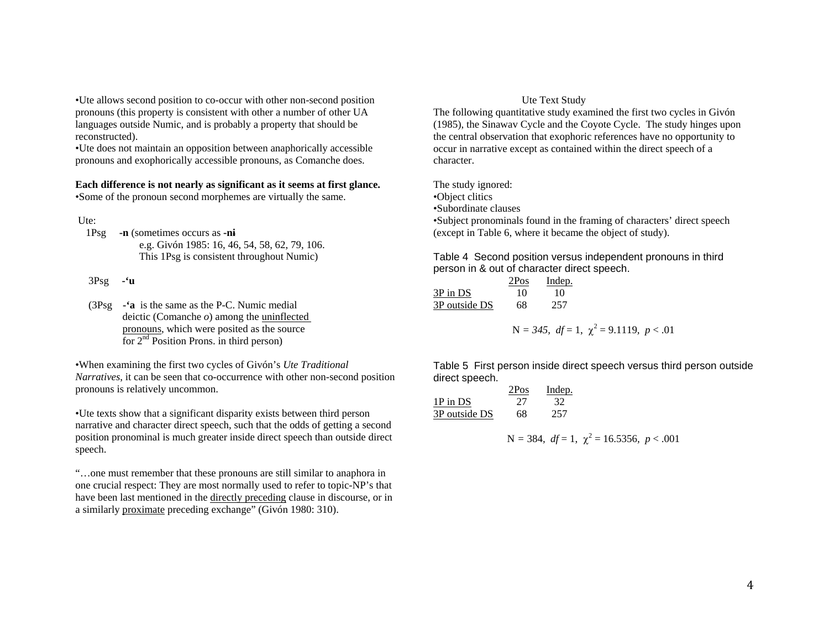•Ute allows second position to co-occur with other non-second position pronouns (this property is consistent with other a number of other UA languages outside Numic, and is probably a property that should be reconstructed).

•Ute does not maintain an opposition between anaphorically accessible pronouns and exophorically accessible pronouns, as Comanche does.

## **Each difference is not nearly as significant as it seems at first glance.**  •Some of the pronoun second morphemes are virtually the same.

Ute:

 1Psg **-n** (sometimes occurs as **-ni** e.g. Givón 1985: 16, 46, 54, 58, 62, 79, 106. This 1Psg is consistent throughout Numic)

3Psg **-'u** 

 (3Psg **-'a** is the same as the P-C. Numic medial deictic (Comanche *o*) among the uninflected pronouns, which were posited as the source for  $2<sup>nd</sup>$  Position Prons. in third person)

•When examining the first two cycles of Givón's *Ute Traditional Narratives*, it can be seen that co-occurrence with other non-second position pronouns is relatively uncommon.

•Ute texts show that a significant disparity exists between third person narrative and character direct speech, such that the odds of getting a second position pronominal is much greater inside direct speech than outside direct speech.

"…one must remember that these pronouns are still similar to anaphora in one crucial respect: They are most normally used to refer to topic-NP's that have been last mentioned in the directly preceding clause in discourse, or in a similarly proximate preceding exchange" (Givón 1980: 310).

## Ute Text Study

The following quantitative study examined the first two cycles in Givón (1985), the Sinawav Cycle and the Coyote Cycle. The study hinges upon the central observation that exophoric references have no opportunity to occur in narrative except as contained within the direct speech of a character.

The study ignored:

•Object clitics

•Subordinate clauses

•Subject pronominals found in the framing of characters' direct speech (except in Table 6, where it became the object of study).

Table 4 Second position versus independent pronouns in third person in & out of character direct speech.

|               | 2Pos | Indep. |
|---------------|------|--------|
| 3P in DS      | 10   | 10     |
| 3P outside DS | 68   | 257    |

$$
N = 345, df = 1, \chi^2 = 9.1119, p < .01
$$

Table 5 First person inside direct speech versus third person outside direct speech.

|               | 2Pos | Indep. |
|---------------|------|--------|
| 1P in DS      | 27   | 32     |
| 3P outside DS | 68   | 257    |

$$
N = 384, df = 1, \chi^2 = 16.5356, p < .001
$$